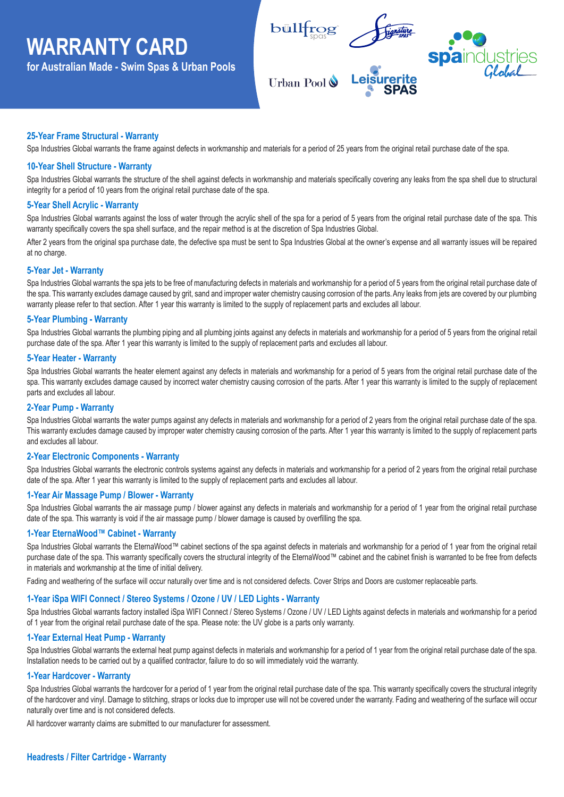# **WARRANTY CARD**

**for Australian Made - Swim Spas & Urban Pools**



## **25-Year Frame Structural - Warranty**

Spa Industries Global warrants the frame against defects in workmanship and materials for a period of 25 years from the original retail purchase date of the spa.

## **10-Year Shell Structure - Warranty**

Spa Industries Global warrants the structure of the shell against defects in workmanship and materials specifically covering any leaks from the spa shell due to structural integrity for a period of 10 years from the original retail purchase date of the spa. .

#### **5-Year Shell Acrylic - Warranty**

Spa Industries Global warrants against the loss of water through the acrylic shell of the spa for a period of 5 years from the original retail purchase date of the spa. This warranty specifically covers the spa shell surface, and the repair method is at the discretion of Spa Industries Global.

After 2 years from the original spa purchase date, the defective spa must be sent to Spa Industries Global at the owner's expense and all warranty issues will be repaired at no charge.

#### **5-Year Jet - Warranty**

Spa Industries Global warrants the spa jets to be free of manufacturing defects in materials and workmanship for a period of 5 years from the original retail purchase date of the spa. This warranty excludes damage caused by grit, sand and improper water chemistry causing corrosion of the parts.Any leaks from jets are covered by our plumbing warranty please refer to that section. After 1 year this warranty is limited to the supply of replacement parts and excludes all labour.

#### **5-Year Plumbing - Warranty**

Spa Industries Global warrants the plumbing piping and all plumbing joints against any defects in materials and workmanship for a period of 5 years from the original retail purchase date of the spa. After 1 year this warranty is limited to the supply of replacement parts and excludes all labour.

#### **5-Year Heater - Warranty**

Spa Industries Global warrants the heater element against any defects in materials and workmanship for a period of 5 years from the original retail purchase date of the spa. This warranty excludes damage caused by incorrect water chemistry causing corrosion of the parts. After 1 year this warranty is limited to the supply of replacement parts and excludes all labour.

## **2-Year Pump - Warranty**

Spa Industries Global warrants the water pumps against any defects in materials and workmanship for a period of 2 years from the original retail purchase date of the spa. This warranty excludes damage caused by improper water chemistry causing corrosion of the parts. After 1 year this warranty is limited to the supply of replacement parts and excludes all labour.

#### **2-Year Electronic Components - Warranty**

Spa Industries Global warrants the electronic controls systems against any defects in materials and workmanship for a period of 2 years from the original retail purchase date of the spa. After 1 year this warranty is limited to the supply of replacement parts and excludes all labour.

## **1-Year Air Massage Pump / Blower - Warranty**

Spa Industries Global warrants the air massage pump / blower against any defects in materials and workmanship for a period of 1 year from the original retail purchase date of the spa. This warranty is void if the air massage pump / blower damage is caused by overfilling the spa.

#### **1-Year EternaWood™ Cabinet - Warranty**

Spa Industries Global warrants the EternaWood™ cabinet sections of the spa against defects in materials and workmanship for a period of 1 year from the original retail purchase date of the spa. This warranty specifically covers the structural integrity of the EternaWood™ cabinet and the cabinet finish is warranted to be free from defects in materials and workmanship at the time of initial delivery.

Fading and weathering of the surface will occur naturally over time and is not considered defects. Cover Strips and Doors are customer replaceable parts.

## **1-Year iSpa WIFI Connect / Stereo Systems / Ozone / UV / LED Lights - Warranty**

Spa Industries Global warrants factory installed iSpa WIFI Connect / Stereo Systems / Ozone / UV / LED Lights against defects in materials and workmanship for a period of 1 year from the original retail purchase date of the spa. Please note: the UV globe is a parts only warranty.

#### **1-Year External Heat Pump - Warranty**

Spa Industries Global warrants the external heat pump against defects in materials and workmanship for a period of 1 year from the original retail purchase date of the spa. Installation needs to be carried out by a qualified contractor, failure to do so will immediately void the warranty.

#### **1-Year Hardcover - Warranty**

Spa Industries Global warrants the hardcover for a period of 1 year from the original retail purchase date of the spa. This warranty specifically covers the structural integrity of the hardcover and vinyl. Damage to stitching, straps or locks due to improper use will not be covered under the warranty. Fading and weathering of the surface will occur naturally over time and is not considered defects.

All hardcover warranty claims are submitted to our manufacturer for assessment.